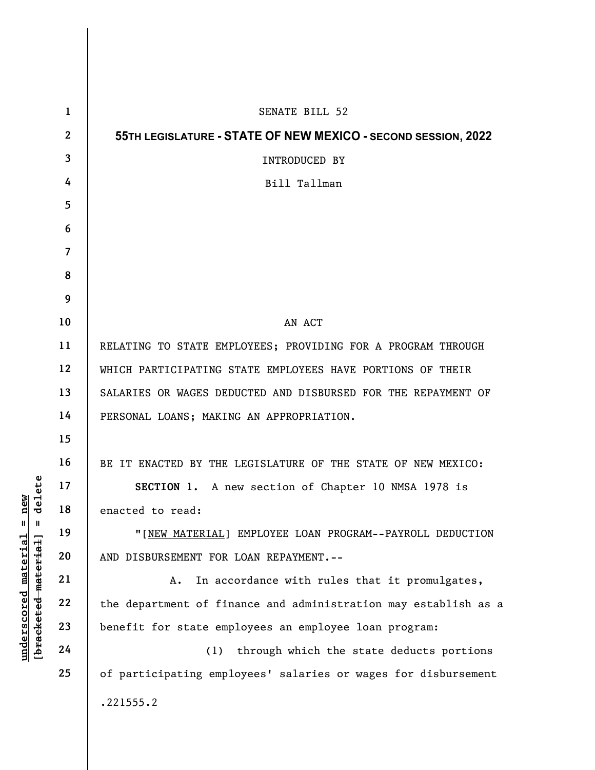|                                                                                                                  | $\mathbf{1}$   | SENATE BILL 52                                                  |
|------------------------------------------------------------------------------------------------------------------|----------------|-----------------------------------------------------------------|
|                                                                                                                  | $\mathbf{2}$   | 55TH LEGISLATURE - STATE OF NEW MEXICO - SECOND SESSION, 2022   |
|                                                                                                                  | 3              | INTRODUCED BY                                                   |
|                                                                                                                  | 4              | Bill Tallman                                                    |
|                                                                                                                  | 5              |                                                                 |
|                                                                                                                  | 6              |                                                                 |
|                                                                                                                  | $\overline{7}$ |                                                                 |
|                                                                                                                  | 8              |                                                                 |
|                                                                                                                  | 9              |                                                                 |
|                                                                                                                  | 10             | AN ACT                                                          |
| elete<br>new<br>ס<br>$\mathsf{I}$<br>$\mathbf{I}$<br>[ <del>bracketed material</del> ]<br>$underscored$ material | 11             | RELATING TO STATE EMPLOYEES; PROVIDING FOR A PROGRAM THROUGH    |
|                                                                                                                  | 12             | WHICH PARTICIPATING STATE EMPLOYEES HAVE PORTIONS OF THEIR      |
|                                                                                                                  | 13             | SALARIES OR WAGES DEDUCTED AND DISBURSED FOR THE REPAYMENT OF   |
|                                                                                                                  | 14             | PERSONAL LOANS; MAKING AN APPROPRIATION.                        |
|                                                                                                                  | 15             |                                                                 |
|                                                                                                                  | 16             | BE IT ENACTED BY THE LEGISLATURE OF THE STATE OF NEW MEXICO:    |
|                                                                                                                  | 17             | SECTION 1. A new section of Chapter 10 NMSA 1978 is             |
|                                                                                                                  | 18             | enacted to read:                                                |
|                                                                                                                  | 19             | "[NEW MATERIAL] EMPLOYEE LOAN PROGRAM--PAYROLL DEDUCTION        |
|                                                                                                                  | 20             | AND DISBURSEMENT FOR LOAN REPAYMENT. --                         |
|                                                                                                                  | 21             | In accordance with rules that it promulgates,<br>Α.             |
|                                                                                                                  | 22             | the department of finance and administration may establish as a |
|                                                                                                                  | 23             | benefit for state employees an employee loan program:           |
|                                                                                                                  | 24             | through which the state deducts portions<br>(1)                 |
|                                                                                                                  | 25             | of participating employees' salaries or wages for disbursement  |
|                                                                                                                  |                | .221555.2                                                       |
|                                                                                                                  |                |                                                                 |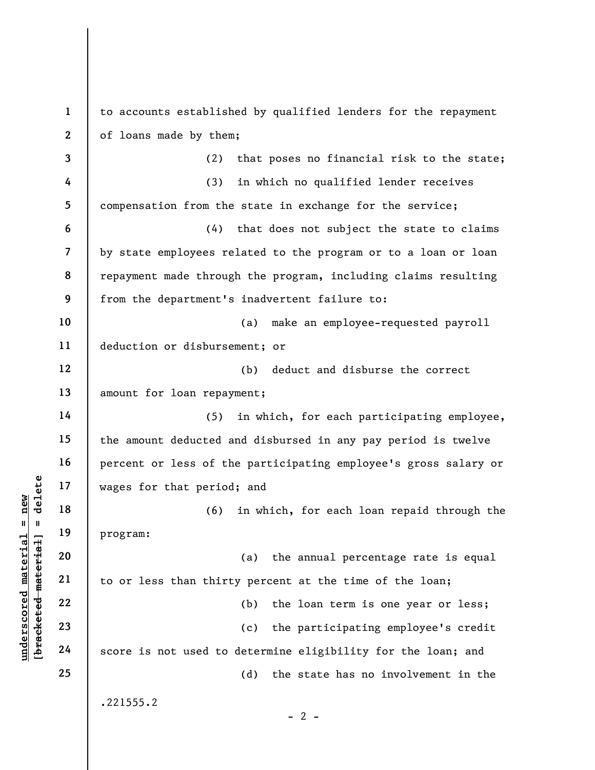understand material material material material and the set of that period (6)<br>
wages for that period (6)<br>
program:<br>
20<br>
program:<br>
21<br>
22<br>
23<br>
24<br>
score is not used to 1 2 3 4 5 6 7 8 9 10 11 12 13 14 15 16 17 18 19 20 21 22 23 24 25 to accounts established by qualified lenders for the repayment of loans made by them; (2) that poses no financial risk to the state; (3) in which no qualified lender receives compensation from the state in exchange for the service; (4) that does not subject the state to claims by state employees related to the program or to a loan or loan repayment made through the program, including claims resulting from the department's inadvertent failure to: (a) make an employee-requested payroll deduction or disbursement; or (b) deduct and disburse the correct amount for loan repayment; (5) in which, for each participating employee, the amount deducted and disbursed in any pay period is twelve percent or less of the participating employee's gross salary or wages for that period; and (6) in which, for each loan repaid through the program: (a) the annual percentage rate is equal to or less than thirty percent at the time of the loan; (b) the loan term is one year or less; (c) the participating employee's credit score is not used to determine eligibility for the loan; and (d) the state has no involvement in the .221555.2  $- 2 -$